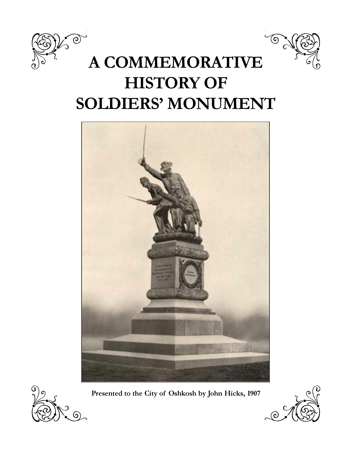



# A COMMEMORATIVE HISTORY OF SOLDIERS' MONUMENT





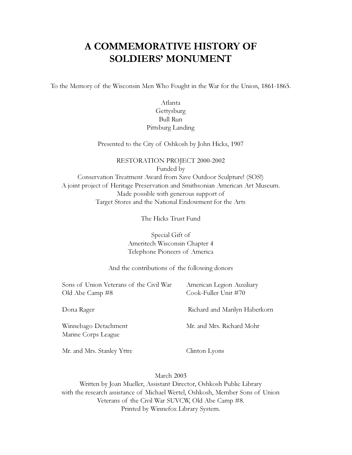## A COMMEMORATIVE HISTORY OF SOLDIERS' MONUMENT

To the Memory of the Wisconsin Men Who Fought in the War for the Union, 1861-1865.

#### Atlanta Gettysburg Bull Run Pittsburg Landing

Presented to the City of Oshkosh by John Hicks, 1907

#### RESTORATION PROJECT 2000-2002 Funded by Conservation Treatment Award from Save Outdoor Sculpture! (SOS!) A joint project of Heritage Preservation and Smithsonian American Art Museum. Made possible with generous support of Target Stores and the National Endowment for the Arts

The Hicks Trust Fund

Special Gift of Ameritech Wisconsin Chapter 4 Telephone Pioneers of America

And the contributions of the following donors

Sons of Union Veterans of the Civil War American Legion Auxiliary Old Abe Camp #8 Cook-Fuller Unit #70

Dona Rager Richard and Marilyn Haberkorn

Winnebago Detachment Mr. and Mrs. Richard Mohr Marine Corps League

Mr. and Mrs. Stanley Yttre Clinton Lyons

March 2003

Written by Joan Mueller, Assistant Director, Oshkosh Public Library with the research assistance of Michael Wertel, Oshkosh, Member Sons of Union Veterans of the Civil War SUVCW, Old Abe Camp #8. Printed by Winnefox Library System.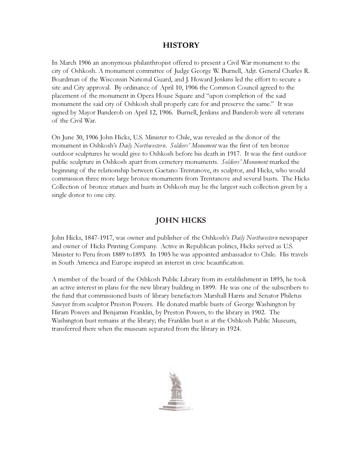#### **HISTORY**

In March 1906 an anonymous philanthropist offered to present a Civil War monument to the city of Oshkosh. A monument committee of Judge George W. Burnell, Adjt. General Charles R. Boardman of the Wisconsin National Guard, and J. Howard Jenkins led the effort to secure a site and City approval. By ordinance of April 10, 1906 the Common Council agreed to the placement of the monument in Opera House Square and "upon completion of the said monument the said city of Oshkosh shall properly care for and preserve the same." It was signed by Mayor Banderob on April 12, 1906. Burnell, Jenkins and Banderob were all veterans of the Civil War.

On June 30, 1906 John Hicks, U.S. Minister to Chile, was revealed as the donor of the monument in Oshkosh's Daily Northwestern. Soldiers' Monument was the first of ten bronze outdoor sculptures he would give to Oshkosh before his death in 1917. It was the first outdoor public sculpture in Oshkosh apart from cemetery monuments. Soldiers' Monument marked the beginning of the relationship between Gaetano Trentanove, its sculptor, and Hicks, who would commission three more large bronze monuments from Trentanove and several busts. The Hicks Collection of bronze statues and busts in Oshkosh may be the largest such collection given by a single donor to one city.

#### JOHN HICKS

John Hicks, 1847-1917, was owner and publisher of the Oshkosh's *Daily Northwestern* newspaper and owner of Hicks Printing Company. Active in Republican politics, Hicks served as U.S. Minister to Peru from 1889 to1893. In 1905 he was appointed ambassador to Chile. His travels in South America and Europe inspired an interest in civic beautification.

A member of the board of the Oshkosh Public Library from its establishment in 1895, he took an active interest in plans for the new library building in 1899. He was one of the subscribers to the fund that commissioned busts of library benefactors Marshall Harris and Senator Philetus Sawyer from sculptor Preston Powers. He donated marble busts of George Washington by Hiram Powers and Benjamin Franklin, by Preston Powers, to the library in 1902. The Washington bust remains at the library; the Franklin bust is at the Oshkosh Public Museum, transferred there when the museum separated from the library in 1924.

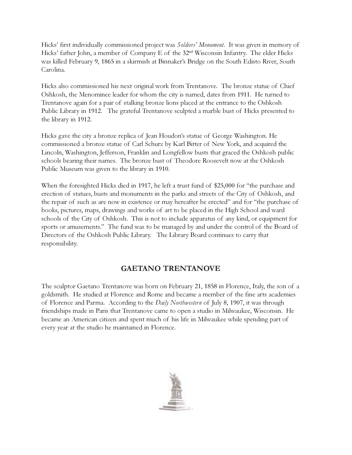Hicks' first individually commissioned project was Soldiers' Monument. It was given in memory of Hicks' father John, a member of Company E of the 32nd Wisconsin Infantry. The elder Hicks was killed February 9, 1865 in a skirmish at Binnaker's Bridge on the South Edisto River, South Carolina.

Hicks also commissioned his next original work from Trentanove. The bronze statue of Chief Oshkosh, the Menominee leader for whom the city is named, dates from 1911. He turned to Trentanove again for a pair of stalking bronze lions placed at the entrance to the Oshkosh Public Library in 1912. The grateful Trentanove sculpted a marble bust of Hicks presented to the library in 1912.

Hicks gave the city a bronze replica of Jean Houdon's statue of George Washington. He commissioned a bronze statue of Carl Schurz by Karl Bitter of New York, and acquired the Lincoln, Washington, Jefferson, Franklin and Longfellow busts that graced the Oshkosh public schools bearing their names. The bronze bust of Theodore Roosevelt now at the Oshkosh Public Museum was given to the library in 1910.

When the foresighted Hicks died in 1917, he left a trust fund of \$25,000 for "the purchase and erection of statues, busts and monuments in the parks and streets of the City of Oshkosh, and the repair of such as are now in existence or may hereafter be erected" and for "the purchase of books, pictures, maps, drawings and works of art to be placed in the High School and ward schools of the City of Oshkosh. This is not to include apparatus of any kind, or equipment for sports or amusements." The fund was to be managed by and under the control of the Board of Directors of the Oshkosh Public Library. The Library Board continues to carry that responsibility.

#### GAETANO TRENTANOVE

The sculptor Gaetano Trentanove was born on February 21, 1858 in Florence, Italy, the son of a goldsmith. He studied at Florence and Rome and became a member of the fine arts academies of Florence and Parma. According to the *Daily Northwestern* of July 8, 1907, it was through friendships made in Paris that Trentanove came to open a studio in Milwaukee, Wisconsin. He became an American citizen and spent much of his life in Milwaukee while spending part of every year at the studio he maintained in Florence.

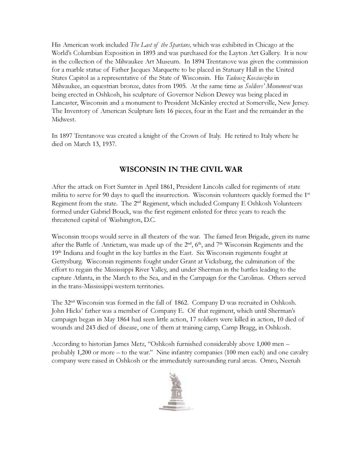His American work included *The Last of the Spartans*, which was exhibited in Chicago at the World's Columbian Exposition in 1893 and was purchased for the Layton Art Gallery. It is now in the collection of the Milwaukee Art Museum. In 1894 Trentanove was given the commission for a marble statue of Father Jacques Marquette to be placed in Statuary Hall in the United States Capitol as a representative of the State of Wisconsin. His Tadeusz Kosciuszko in Milwaukee, an equestrian bronze, dates from 1905. At the same time as *Soldiers' Monument* was being erected in Oshkosh, his sculpture of Governor Nelson Dewey was being placed in Lancaster, Wisconsin and a monument to President McKinley erected at Somerville, New Jersey. The Inventory of American Sculpture lists 16 pieces, four in the East and the remainder in the Midwest.

In 1897 Trentanove was created a knight of the Crown of Italy. He retired to Italy where he died on March 13, 1937.

#### WISCONSIN IN THE CIVIL WAR

After the attack on Fort Sumter in April 1861, President Lincoln called for regiments of state militia to serve for 90 days to quell the insurrection. Wisconsin volunteers quickly formed the  $1<sup>st</sup>$ Regiment from the state. The  $2<sup>nd</sup>$  Regiment, which included Company E Oshkosh Volunteers formed under Gabriel Bouck, was the first regiment enlisted for three years to reach the threatened capital of Washington, D.C.

Wisconsin troops would serve in all theaters of the war. The famed Iron Brigade, given its name after the Battle of Antietam, was made up of the  $2<sup>nd</sup>$ ,  $6<sup>th</sup>$ , and  $7<sup>th</sup>$  Wisconsin Regiments and the  $19<sup>th</sup>$  Indiana and fought in the key battles in the East. Six Wisconsin regiments fought at Gettysburg. Wisconsin regiments fought under Grant at Vicksburg, the culmination of the effort to regain the Mississippi River Valley, and under Sherman in the battles leading to the capture Atlanta, in the March to the Sea, and in the Campaign for the Carolinas. Others served in the trans-Mississippi western territories.

The 32nd Wisconsin was formed in the fall of 1862. Company D was recruited in Oshkosh. John Hicks' father was a member of Company E. Of that regiment, which until Sherman's campaign began in May 1864 had seen little action, 17 soldiers were killed in action, 10 died of wounds and 243 died of disease, one of them at training camp, Camp Bragg, in Oshkosh.

According to historian James Metz, "Oshkosh furnished considerably above 1,000 men – probably 1,200 or more – to the war." Nine infantry companies (100 men each) and one cavalry company were raised in Oshkosh or the immediately surrounding rural areas. Omro, Neenah

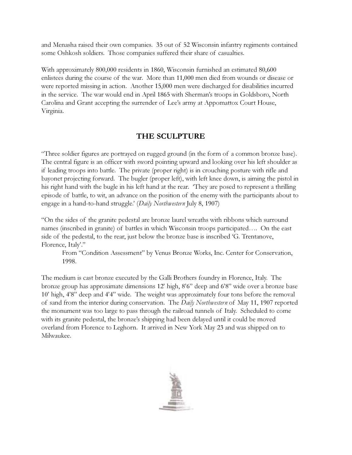and Menasha raised their own companies. 35 out of 52 Wisconsin infantry regiments contained some Oshkosh soldiers. Those companies suffered their share of casualties.

With approximately 800,000 residents in 1860, Wisconsin furnished an estimated 80,600 enlistees during the course of the war. More than 11,000 men died from wounds or disease or were reported missing in action. Another 15,000 men were discharged for disabilities incurred in the service. The war would end in April 1865 with Sherman's troops in Goldsboro, North Carolina and Grant accepting the surrender of Lee's army at Appomattox Court House, Virginia.

#### THE SCULPTURE

"Three soldier figures are portrayed on rugged ground (in the form of a common bronze base). The central figure is an officer with sword pointing upward and looking over his left shoulder as if leading troops into battle. The private (proper right) is in crouching posture with rifle and bayonet projecting forward. The bugler (proper left), with left knee down, is aiming the pistol in his right hand with the bugle in his left hand at the rear. 'They are posed to represent a thrilling episode of battle, to wit, an advance on the position of the enemy with the participants about to engage in a hand-to-hand struggle.' (Daily Northwestern July 8, 1907)

"On the sides of the granite pedestal are bronze laurel wreaths with ribbons which surround names (inscribed in granite) of battles in which Wisconsin troops participated…. On the east side of the pedestal, to the rear, just below the bronze base is inscribed 'G. Trentanove, Florence, Italy'."

From "Condition Assessment" by Venus Bronze Works, Inc. Center for Conservation, 1998.

The medium is cast bronze executed by the Galli Brothers foundry in Florence, Italy. The bronze group has approximate dimensions 12' high, 8'6" deep and 6'8" wide over a bronze base 10' high, 4'8" deep and 4'4" wide. The weight was approximately four tons before the removal of sand from the interior during conservation. The Daily Northwestern of May 11, 1907 reported the monument was too large to pass through the railroad tunnels of Italy. Scheduled to come with its granite pedestal, the bronze's shipping had been delayed until it could be moved overland from Florence to Leghorn. It arrived in New York May 23 and was shipped on to Milwaukee.

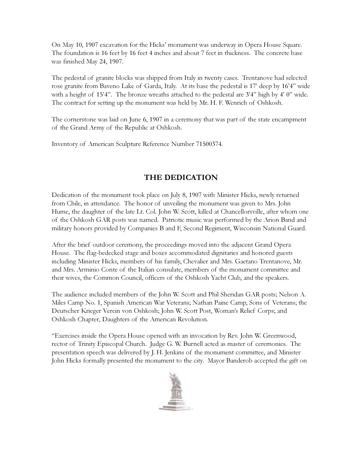On May 10, 1907 excavation for the Hicks' monument was underway in Opera House Square. The foundation is 16 feet by 16 feet 4 inches and about 7 feet in thickness. The concrete base was finished May 24, 1907.

The pedestal of granite blocks was shipped from Italy in twenty cases. Trentanove had selected rose granite from Baveno Lake of Garda, Italy. At its base the pedestal is 17' deep by 16'4" wide with a height of 15'4". The bronze wreaths attached to the pedestal are 3'4" high by 4'0" wide. The contract for setting up the monument was held by Mr. H. F. Wenrich of Oshkosh.

The cornerstone was laid on June 6, 1907 in a ceremony that was part of the state encampment of the Grand Army of the Republic at Oshkosh.

Inventory of American Sculpture Reference Number 71500374.

### THE DEDICATION

Dedication of the monument took place on July 8, 1907 with Minister Hicks, newly returned from Chile, in attendance. The honor of unveiling the monument was given to Mrs. John Hume, the daughter of the late Lt. Col. John W. Scott, killed at Chancellorsville, after whom one of the Oshkosh GAR posts was named. Patriotic music was performed by the Arion Band and military honors provided by Companies B and F, Second Regiment, Wisconsin National Guard.

After the brief outdoor ceremony, the proceedings moved into the adjacent Grand Opera House. The flag-bedecked stage and boxes accommodated dignitaries and honored guests including Minister Hicks, members of his family, Chevalier and Mrs. Gaetano Trentanove, Mr. and Mrs. Arminio Conte of the Italian consulate, members of the monument committee and their wives, the Common Council, officers of the Oshkosh Yacht Club, and the speakers.

The audience included members of the John W. Scott and Phil Sheridan GAR posts; Nelson A. Miles Camp No. 1, Spanish American War Veterans; Nathan Paine Camp, Sons of Veterans; the Deutscher Krieger Verein von Oshkosh; John W. Scott Post, Woman's Relief Corps; and Oshkosh Chapter, Daughters of the American Revolution.

"Exercises inside the Opera House opened with an invocation by Rev. John W. Greenwood, rector of Trinity Episcopal Church. Judge G. W. Burnell acted as master of ceremonies. The presentation speech was delivered by J. H. Jenkins of the monument committee, and Minister John Hicks formally presented the monument to the city. Mayor Banderob accepted the gift on

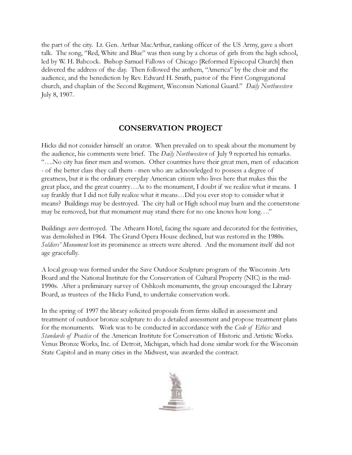the part of the city. Lt. Gen. Arthur MacArthur, ranking officer of the US Army, gave a short talk. The song, "Red, White and Blue" was then sung by a chorus of girls from the high school, led by W. H. Babcock. Bishop Samuel Fallows of Chicago [Reformed Episcopal Church] then delivered the address of the day. Then followed the anthem, "America" by the choir and the audience, and the benediction by Rev. Edward H. Smith, pastor of the First Congregational church, and chaplain of the Second Regiment, Wisconsin National Guard." Daily Northwestern July 8, 1907.

#### CONSERVATION PROJECT

Hicks did not consider himself an orator. When prevailed on to speak about the monument by the audience, his comments were brief. The *Daily Northwestern* of July 9 reported his remarks. "….No city has finer men and women. Other countries have their great men, men of education - of the better class they call them - men who are acknowledged to possess a degree of greatness, but it is the ordinary everyday American citizen who lives here that makes this the great place, and the great country…As to the monument, I doubt if we realize what it means. I say frankly that I did not fully realize what it means…Did you ever stop to consider what it means? Buildings may be destroyed. The city hall or High school may burn and the cornerstone may be removed, but that monument may stand there for no one knows how long…."

Buildings *were* destroyed. The Athearn Hotel, facing the square and decorated for the festivities, was demolished in 1964. The Grand Opera House declined, but was restored in the 1980s. Soldiers' Monument lost its prominence as streets were altered. And the monument itself did not age gracefully.

A local group was formed under the Save Outdoor Sculpture program of the Wisconsin Arts Board and the National Institute for the Conservation of Cultural Property (NIC) in the mid-1990s. After a preliminary survey of Oshkosh monuments, the group encouraged the Library Board, as trustees of the Hicks Fund, to undertake conservation work.

In the spring of 1997 the library solicited proposals from firms skilled in assessment and treatment of outdoor bronze sculpture to do a detailed assessment and propose treatment plans for the monuments. Work was to be conducted in accordance with the *Code of Ethics* and Standards of Practice of the American Institute for Conservation of Historic and Artistic Works. Venus Bronze Works, Inc. of Detroit, Michigan, which had done similar work for the Wisconsin State Capitol and in many cities in the Midwest, was awarded the contract.

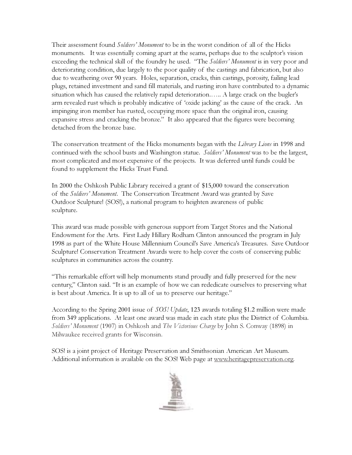Their assessment found *Soldiers' Monument* to be in the worst condition of all of the Hicks monuments. It was essentially coming apart at the seams, perhaps due to the sculptor's vision exceeding the technical skill of the foundry he used. "The *Soldiers' Monument* is in very poor and deteriorating condition, due largely to the poor quality of the castings and fabrication, but also due to weathering over 90 years. Holes, separation, cracks, thin castings, porosity, failing lead plugs, retained investment and sand fill materials, and rusting iron have contributed to a dynamic situation which has caused the relatively rapid deterioration.….. A large crack on the bugler's arm revealed rust which is probably indicative of 'oxide jacking' as the cause of the crack. An impinging iron member has rusted, occupying more space than the original iron, causing expansive stress and cracking the bronze." It also appeared that the figures were becoming detached from the bronze base.

The conservation treatment of the Hicks monuments began with the Library Lions in 1998 and continued with the school busts and Washington statue. Soldiers' Monument was to be the largest, most complicated and most expensive of the projects. It was deferred until funds could be found to supplement the Hicks Trust Fund.

In 2000 the Oshkosh Public Library received a grant of \$15,000 toward the conservation of the Soldiers' Monument. The Conservation Treatment Award was granted by Save Outdoor Sculpture! (SOS!), a national program to heighten awareness of public sculpture.

This award was made possible with generous support from Target Stores and the National Endowment for the Arts. First Lady Hillary Rodham Clinton announced the program in July 1998 as part of the White House Millennium Council's Save America's Treasures. Save Outdoor Sculpture! Conservation Treatment Awards were to help cover the costs of conserving public sculptures in communities across the country.

"This remarkable effort will help monuments stand proudly and fully preserved for the new century," Clinton said. "It is an example of how we can rededicate ourselves to preserving what is best about America. It is up to all of us to preserve our heritage."

According to the Spring 2001 issue of *SOS! Update*, 123 awards totaling \$1.2 million were made from 349 applications. At least one award was made in each state plus the District of Columbia. Soldiers' Monument (1907) in Oshkosh and The Victorious Charge by John S. Conway (1898) in Milwaukee received grants for Wisconsin.

SOS! is a joint project of Heritage Preservation and Smithsonian American Art Museum. Additional information is available on the SOS! Web page at www.heritagepreservation.org.

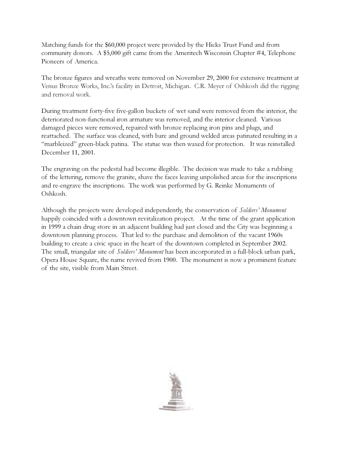Matching funds for the \$60,000 project were provided by the Hicks Trust Fund and from community donors. A \$5,000 gift came from the Ameritech Wisconsin Chapter #4, Telephone Pioneers of America.

The bronze figures and wreaths were removed on November 29, 2000 for extensive treatment at Venus Bronze Works, Inc.'s facility in Detroit, Michigan. C.R. Meyer of Oshkosh did the rigging and removal work.

During treatment forty-five five-gallon buckets of wet sand were removed from the interior, the deteriorated non-functional iron armature was removed, and the interior cleaned. Various damaged pieces were removed, repaired with bronze replacing iron pins and plugs, and reattached. The surface was cleaned, with bare and ground welded areas patinated resulting in a "marbleized" green-black patina. The statue was then waxed for protection. It was reinstalled December 11, 2001.

The engraving on the pedestal had become illegible. The decision was made to take a rubbing of the lettering, remove the granite, shave the faces leaving unpolished areas for the inscriptions and re-engrave the inscriptions. The work was performed by G. Reinke Monuments of Oshkosh.

Although the projects were developed independently, the conservation of *Soldiers' Monument* happily coincided with a downtown revitalization project. At the time of the grant application in 1999 a chain drug store in an adjacent building had just closed and the City was beginning a downtown planning process. That led to the purchase and demolition of the vacant 1960s building to create a civic space in the heart of the downtown completed in September 2002. The small, triangular site of *Soldiers' Monument* has been incorporated in a full-block urban park, Opera House Square, the name revived from 1900. The monument is now a prominent feature of the site, visible from Main Street.

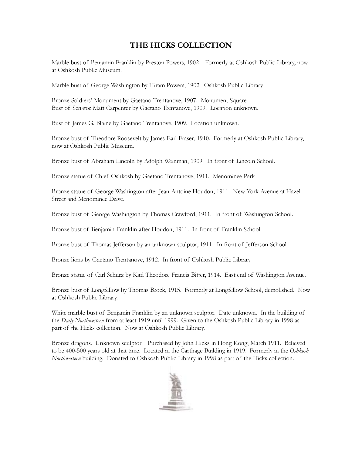#### THE HICKS COLLECTION

Marble bust of Benjamin Franklin by Preston Powers, 1902. Formerly at Oshkosh Public Library, now at Oshkosh Public Museum.

Marble bust of George Washington by Hiram Powers, 1902. Oshkosh Public Library

Bronze Soldiers' Monument by Gaetano Trentanove, 1907. Monument Square. Bust of Senator Matt Carpenter by Gaetano Trentanove, 1909. Location unknown.

Bust of James G. Blaine by Gaetano Trentanove, 1909. Location unknown.

Bronze bust of Theodore Roosevelt by James Earl Fraser, 1910. Formerly at Oshkosh Public Library, now at Oshkosh Public Museum.

Bronze bust of Abraham Lincoln by Adolph Weinman, 1909. In front of Lincoln School.

Bronze statue of Chief Oshkosh by Gaetano Trentanove, 1911. Menominee Park

Bronze statue of George Washington after Jean Antoine Houdon, 1911. New York Avenue at Hazel Street and Menominee Drive.

Bronze bust of George Washington by Thomas Crawford, 1911. In front of Washington School.

Bronze bust of Benjamin Franklin after Houdon, 1911. In front of Franklin School.

Bronze bust of Thomas Jefferson by an unknown sculptor, 1911. In front of Jefferson School.

Bronze lions by Gaetano Trentanove, 1912. In front of Oshkosh Public Library.

Bronze statue of Carl Schurz by Karl Theodore Francis Bitter, 1914. East end of Washington Avenue.

Bronze bust of Longfellow by Thomas Brock, 1915. Formerly at Longfellow School, demolished. Now at Oshkosh Public Library.

White marble bust of Benjamin Franklin by an unknown sculptor. Date unknown. In the building of the Daily Northwestern from at least 1919 until 1999. Given to the Oshkosh Public Library in 1998 as part of the Hicks collection. Now at Oshkosh Public Library.

Bronze dragons. Unknown sculptor. Purchased by John Hicks in Hong Kong, March 1911. Believed to be 400-500 years old at that time. Located in the Carthage Building in 1919. Formerly in the Oshkosh Northwestern building. Donated to Oshkosh Public Library in 1998 as part of the Hicks collection.